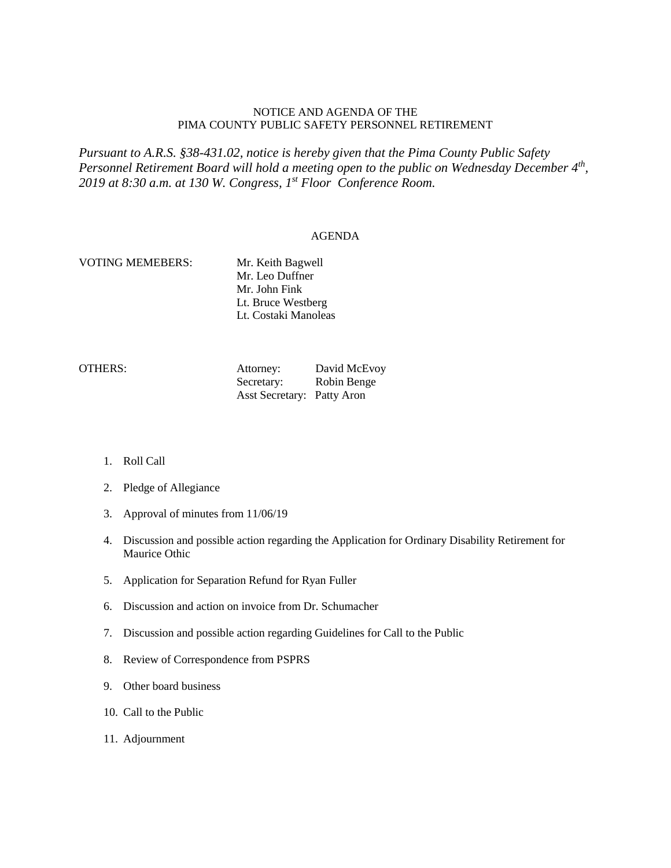## NOTICE AND AGENDA OF THE PIMA COUNTY PUBLIC SAFETY PERSONNEL RETIREMENT

*Pursuant to A.R.S. §38-431.02, notice is hereby given that the Pima County Public Safety Personnel Retirement Board will hold a meeting open to the public on Wednesday December 4th, 2019 at 8:30 a.m. at 130 W. Congress, 1st Floor Conference Room.*

## AGENDA

## VOTING MEMEBERS: Mr. Keith Bagwell Mr. Leo Duffner Mr. John Fink Lt. Bruce Westberg Lt. Costaki Manoleas

| OTHERS: | Attorney:                  | David McEvoy |
|---------|----------------------------|--------------|
|         | Secretary:                 | Robin Benge  |
|         | Asst Secretary: Patty Aron |              |

- 1. Roll Call
- 2. Pledge of Allegiance
- 3. Approval of minutes from 11/06/19
- 4. Discussion and possible action regarding the Application for Ordinary Disability Retirement for Maurice Othic
- 5. Application for Separation Refund for Ryan Fuller
- 6. Discussion and action on invoice from Dr. Schumacher
- 7. Discussion and possible action regarding Guidelines for Call to the Public
- 8. Review of Correspondence from PSPRS
- 9. Other board business
- 10. Call to the Public
- 11. Adjournment